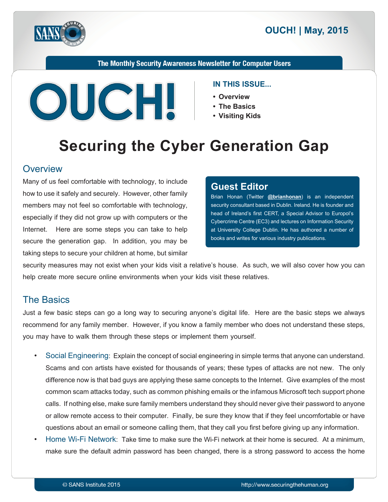



The Monthly Security Awareness Newsletter for Computer Users



#### **IN THIS ISSUE...**

- **Overview•**
- The Basics
- Visiting Kids

# **Securing the Cyber Generation Gap**

### **Overview**

Many of us feel comfortable with technology, to include how to use it safely and securely. However, other family members may not feel so comfortable with technology, especially if they did not grow up with computers or the Internet. Here are some steps you can take to help secure the generation gap. In addition, you may be taking steps to secure your children at home, but similar

### **Guest Editor**

Brian Honan (Twitter @[brianhonan](https://twitter.com/brianhonan)) is an independent security consultant based in Dublin. Ireland. He is founder and head of Ireland's first CERT, a Special Advisor to Europol's Cybercrime Centre (EC3) and lectures on Information Security at University College Dublin. He has authored a number of books and writes for various industry publications.

security measures may not exist when your kids visit a relative's house. As such, we will also cover how you can help create more secure online environments when your kids visit these relatives.

### **The Basics**

Just a few basic steps can go a long way to securing anyone's digital life. Here are the basic steps we always recommend for any family member. However, if you know a family member who does not understand these steps, you may have to walk them through these steps or implement them yourself.

- Social Engineering: Explain the concept of social engineering in simple terms that anyone can understand. Scams and con artists have existed for thousands of years; these types of attacks are not new. The only difference now is that bad guys are applying these same concepts to the Internet. Give examples of the most common scam attacks today, such as common phishing emails or the infamous Microsoft tech support phone calls. If nothing else, make sure family members understand they should never give their password to anyone or allow remote access to their computer. Finally, be sure they know that if they feel uncomfortable or have questions about an email or someone calling them, that they call you first before giving up any information.
- Home Wi-Fi Network: Take time to make sure the Wi-Fi network at their home is secured. At a minimum, make sure the default admin password has been changed, there is a strong password to access the home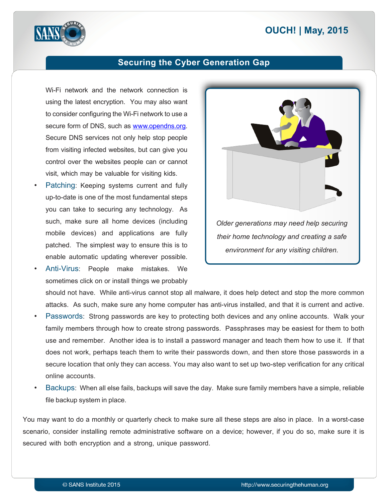# **2015 | OUCH! | May, 2015**



### **Securing the Cyber Generation Gap**

Wi-Fi network and the network connection is using the latest encryption. You may also want to consider configuring the Wi-Fi network to use a secure form of DNS, such as www.opendns.org. Secure DNS services not only help stop people from visiting infected websites, but can give you control over the websites people can or cannot visit, which may be valuable for visiting kids.

- Fatching: Keeping systems current and fully up-to-date is one of the most fundamental steps you can take to securing any technology. As such, make sure all home devices (including mobile devices) and applications are fully patched. The simplest way to ensure this is to enable automatic updating wherever possible.
- Anti-Virus: People make mistakes. We sometimes click on or install things we probably

*Older generations may need help securing their home technology and creating a safe* environment for any visiting children.

should not have. While anti-virus cannot stop all malware, it does help detect and stop the more common attacks. As such, make sure any home computer has anti-virus installed, and that it is current and active.

- Passwords: Strong passwords are key to protecting both devices and any online accounts. Walk your family members through how to create strong passwords. Passphrases may be easiest for them to both use and remember. Another idea is to install a password manager and teach them how to use it. If that does not work, perhaps teach them to write their passwords down, and then store those passwords in a secure location that only they can access. You may also want to set up two-step verification for any critical online accounts.
- Backups: When all else fails, backups will save the day. Make sure family members have a simple, reliable file backup system in place.

You may want to do a monthly or quarterly check to make sure all these steps are also in place. In a worst-case scenario, consider installing remote administrative software on a device; however, if you do so, make sure it is secured with both encryption and a strong, unique password.